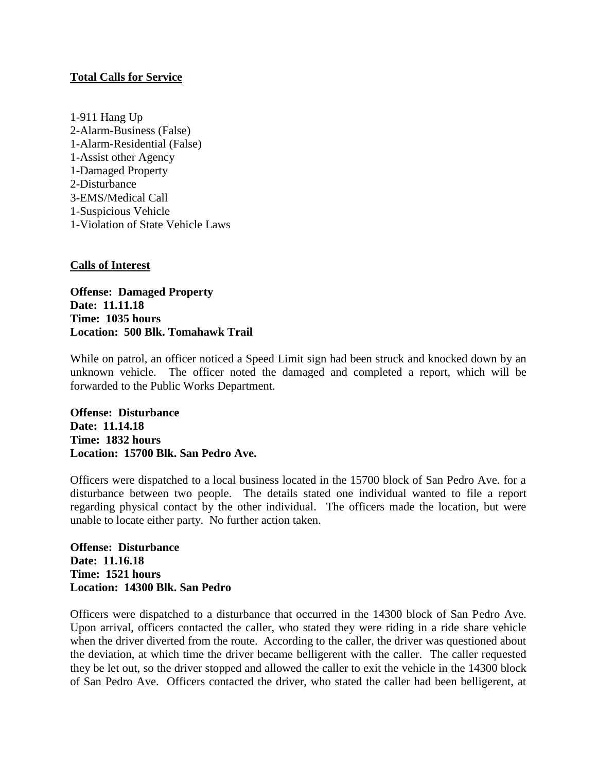## **Total Calls for Service**

1-911 Hang Up 2-Alarm-Business (False) 1-Alarm-Residential (False) 1-Assist other Agency 1-Damaged Property 2-Disturbance 3-EMS/Medical Call 1-Suspicious Vehicle 1-Violation of State Vehicle Laws

## **Calls of Interest**

**Offense: Damaged Property Date: 11.11.18 Time: 1035 hours Location: 500 Blk. Tomahawk Trail**

While on patrol, an officer noticed a Speed Limit sign had been struck and knocked down by an unknown vehicle. The officer noted the damaged and completed a report, which will be forwarded to the Public Works Department.

**Offense: Disturbance Date: 11.14.18 Time: 1832 hours Location: 15700 Blk. San Pedro Ave.**

Officers were dispatched to a local business located in the 15700 block of San Pedro Ave. for a disturbance between two people. The details stated one individual wanted to file a report regarding physical contact by the other individual. The officers made the location, but were unable to locate either party. No further action taken.

**Offense: Disturbance Date: 11.16.18 Time: 1521 hours Location: 14300 Blk. San Pedro**

Officers were dispatched to a disturbance that occurred in the 14300 block of San Pedro Ave. Upon arrival, officers contacted the caller, who stated they were riding in a ride share vehicle when the driver diverted from the route. According to the caller, the driver was questioned about the deviation, at which time the driver became belligerent with the caller. The caller requested they be let out, so the driver stopped and allowed the caller to exit the vehicle in the 14300 block of San Pedro Ave. Officers contacted the driver, who stated the caller had been belligerent, at